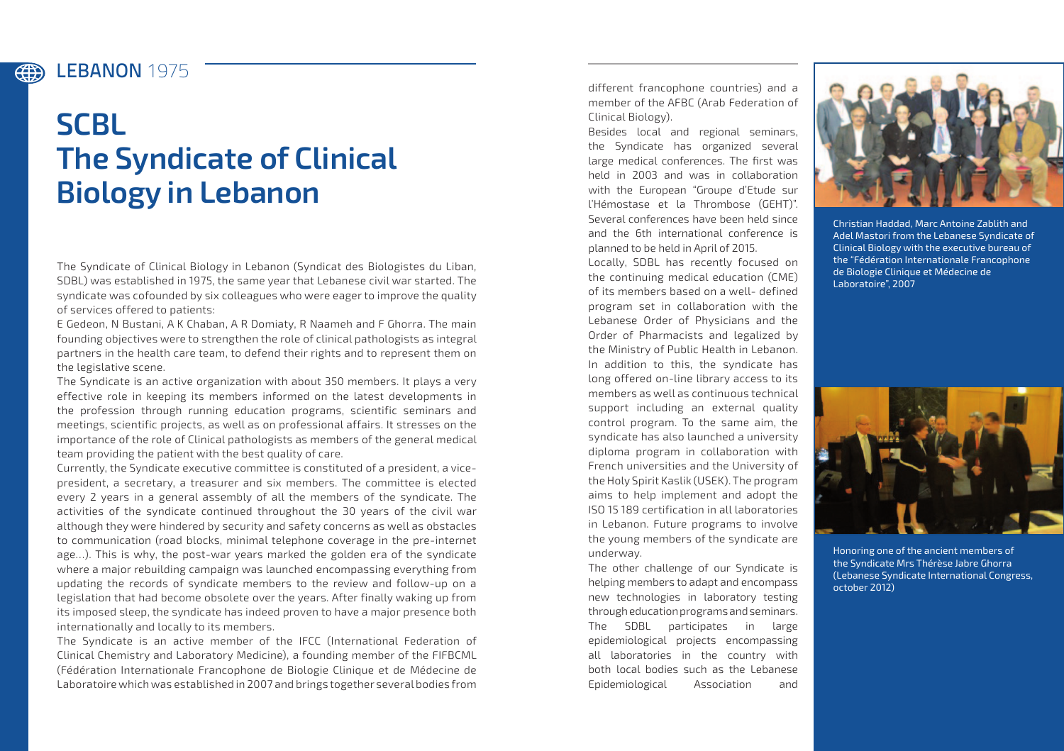## LEBANON **1975**

(#)

## **SCBL The Syndicate of Clinical Biology in Lebanon**

The Syndicate of Clinical Biology in Lebanon (Syndicat des Biologistes du Liban, SDBL) was established in 1975, the same year that Lebanese civil war started. The syndicate was cofounded by six colleagues who were eager to improve the quality of services offered to patients:

E Gedeon, N Bustani, A K Chaban, A R Domiaty, R Naameh and F Ghorra. The main founding objectives were to strengthen the role of clinical pathologists as integral partners in the health care team, to defend their rights and to represent them on the legislative scene.

The Syndicate is an active organization with about 350 members. It plays a very effective role in keeping its members informed on the latest developments in the profession through running education programs, scientific seminars and meetings, scientific projects, as well as on professional affairs. It stresses on the importance of the role of Clinical pathologists as members of the general medical team providing the patient with the best quality of care.

Currently, the Syndicate executive committee is constituted of a president, a vicepresident, a secretary, a treasurer and six members. The committee is elected every 2 years in a general assembly of all the members of the syndicate. The activities of the syndicate continued throughout the 30 years of the civil war although they were hindered by security and safety concerns as well as obstacles to communication (road blocks, minimal telephone coverage in the pre-internet age…). This is why, the post-war years marked the golden era of the syndicate where a major rebuilding campaign was launched encompassing everything from updating the records of syndicate members to the review and follow-up on a legislation that had become obsolete over the years. After finally waking up from its imposed sleep, the syndicate has indeed proven to have a major presence both internationally and locally to its members.

The Syndicate is an active member of the IFCC (International Federation of Clinical Chemistry and Laboratory Medicine), a founding member of the FIFBCML (Fédération Internationale Francophone de Biologie Clinique et de Médecine de Laboratoire which was established in 2007 and brings together several bodies from

different francophone countries) and a member of the AFBC (Arab Federation of Clinical Biology).

Besides local and regional seminars, the Syndicate has organized several large medical conferences. The first was held in 2003 and was in collaboration with the European "Groupe d'Etude sur l'Hémostase et la Thrombose (GEHT)". Several conferences have been held since and the 6th international conference is planned to be held in April of 2015.

Locally, SDBL has recently focused on the continuing medical education (CME) of its members based on a well- defined program set in collaboration with the Lebanese Order of Physicians and the Order of Pharmacists and legalized by the Ministry of Public Health in Lebanon. In addition to this, the syndicate has long offered on-line library access to its members as well as continuous technical support including an external quality control program. To the same aim, the syndicate has also launched a university diploma program in collaboration with French universities and the University of the Holy Spirit Kaslik (USEK). The program aims to help implement and adopt the ISO 15 189 certification in all laboratories in Lebanon. Future programs to involve the young members of the syndicate are underway.

The other challenge of our Syndicate is helping members to adapt and encompass new technologies in laboratory testing through education programs and seminars. The SDBL participates in large epidemiological projects encompassing all laboratories in the country with both local bodies such as the Lebanese Epidemiological Association and



Christian Haddad, Marc Antoine Zablith and Adel Mastori from the Lebanese Syndicate of Clinical Biology with the executive bureau of the "Fédération Internationale Francophone de Biologie Clinique et Médecine de Laboratoire", 2007



Honoring one of the ancient members of the Syndicate Mrs Thérèse Jabre Ghorra (Lebanese Syndicate International Congress, october 2012)